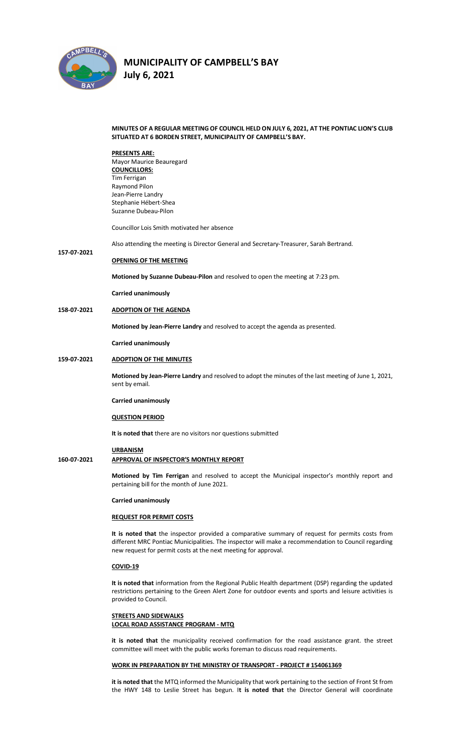

**157-07-2021**

# **MUNICIPALITY OF CAMPBELL'S BAY**

**July 6, 2021** 

#### **MINUTES OF A REGULAR MEETING OF COUNCIL HELD ON JULY 6, 2021, AT THE PONTIAC LION'S CLUB SITUATED AT 6 BORDEN STREET, MUNICIPALITY OF CAMPBELL'S BAY.**

**PRESENTS ARE:**  Mayor Maurice Beauregard **COUNCILLORS:** Tim Ferrigan Raymond Pilon Jean-Pierre Landry Stephanie Hébert-Shea Suzanne Dubeau-Pilon

Councillor Lois Smith motivated her absence

Also attending the meeting is Director General and Secretary-Treasurer, Sarah Bertrand.

## **OPENING OF THE MEETING**

**Motioned by Suzanne Dubeau-Pilon** and resolved to open the meeting at 7:23 pm.

**Carried unanimously**

**158-07-2021 ADOPTION OF THE AGENDA**

**Motioned by Jean-Pierre Landry** and resolved to accept the agenda as presented.

**Carried unanimously**

#### **159-07-2021 ADOPTION OF THE MINUTES**

**Motioned by Jean-Pierre Landry** and resolved to adopt the minutes of the last meeting of June 1, 2021, sent by email.

#### **Carried unanimously**

#### **QUESTION PERIOD**

**It is noted that** there are no visitors nor questions submitted

#### **URBANISM**

# **160-07-2021 APPROVAL OF INSPECTOR'S MONTHLY REPORT**

**Motioned by Tim Ferrigan** and resolved to accept the Municipal inspector's monthly report and pertaining bill for the month of June 2021.

#### **Carried unanimously**

#### **REQUEST FOR PERMIT COSTS**

**It is noted that** the inspector provided a comparative summary of request for permits costs from different MRC Pontiac Municipalities. The inspector will make a recommendation to Council regarding new request for permit costs at the next meeting for approval.

#### **COVID-19**

**It is noted that** information from the Regional Public Health department (DSP) regarding the updated restrictions pertaining to the Green Alert Zone for outdoor events and sports and leisure activities is provided to Council.

#### **STREETS AND SIDEWALKS LOCAL ROAD ASSISTANCE PROGRAM - MTQ**

**it is noted that** the municipality received confirmation for the road assistance grant. the street committee will meet with the public works foreman to discuss road requirements.

#### **WORK IN PREPARATION BY THE MINISTRY OF TRANSPORT - PROJECT # 154061369**

**it is noted that** the MTQ informed the Municipality that work pertaining to the section of Front St from the HWY 148 to Leslie Street has begun. I**t is noted that** the Director General will coordinate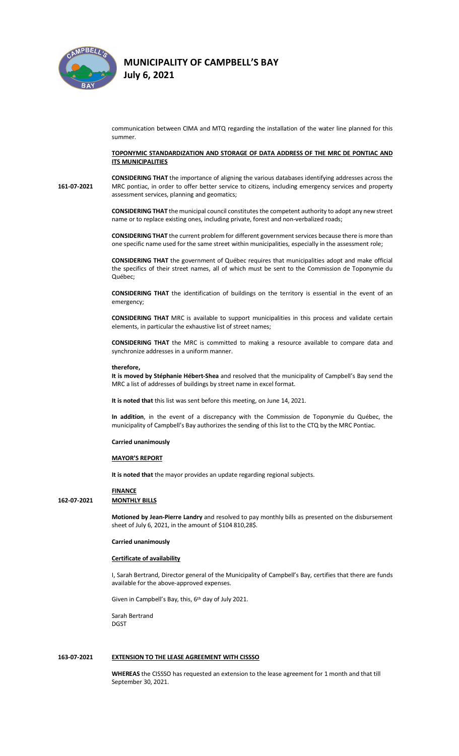

**July 6, 2021** 

communication between CIMA and MTQ regarding the installation of the water line planned for this summer.

**TOPONYMIC STANDARDIZATION AND STORAGE OF DATA ADDRESS OF THE MRC DE PONTIAC AND ITS MUNICIPALITIES**

**161-07-2021 CONSIDERING THAT** the importance of aligning the various databases identifying addresses across the MRC pontiac, in order to offer better service to citizens, including emergency services and property assessment services, planning and geomatics;

> **CONSIDERING THAT** the municipal council constitutes the competent authority to adopt any new street name or to replace existing ones, including private, forest and non-verbalized roads;

> **CONSIDERING THAT** the current problem for different government services because there is more than one specific name used for the same street within municipalities, especially in the assessment role;

> **CONSIDERING THAT** the government of Québec requires that municipalities adopt and make official the specifics of their street names, all of which must be sent to the Commission de Toponymie du Québec;

> **CONSIDERING THAT** the identification of buildings on the territory is essential in the event of an emergency;

> **CONSIDERING THAT** MRC is available to support municipalities in this process and validate certain elements, in particular the exhaustive list of street names;

> **CONSIDERING THAT** the MRC is committed to making a resource available to compare data and synchronize addresses in a uniform manner.

#### **therefore,**

**It is moved by Stéphanie Hébert-Shea** and resolved that the municipality of Campbell's Bay send the MRC a list of addresses of buildings by street name in excel format.

**It is noted that** this list was sent before this meeting, on June 14, 2021.

**In addition**, in the event of a discrepancy with the Commission de Toponymie du Québec, the municipality of Campbell's Bay authorizes the sending of this list to the CTQ by the MRC Pontiac.

#### **Carried unanimously**

#### **MAYOR'S REPORT**

**It is noted that** the mayor provides an update regarding regional subjects.

### **FINANCE**

### **162-07-2021 MONTHLY BILLS**

**Motioned by Jean-Pierre Landry** and resolved to pay monthly bills as presented on the disbursement sheet of July 6, 2021, in the amount of \$104 810,28\$.

#### **Carried unanimously**

### **Certificate of availability**

I, Sarah Bertrand, Director general of the Municipality of Campbell's Bay, certifies that there are funds available for the above-approved expenses.

Given in Campbell's Bay, this, 6<sup>th</sup> day of July 2021.

Sarah Bertrand DGST

#### **163-07-2021 EXTENSION TO THE LEASE AGREEMENT WITH CISSSO**

**WHEREAS** the CISSSO has requested an extension to the lease agreement for 1 month and that till September 30, 2021.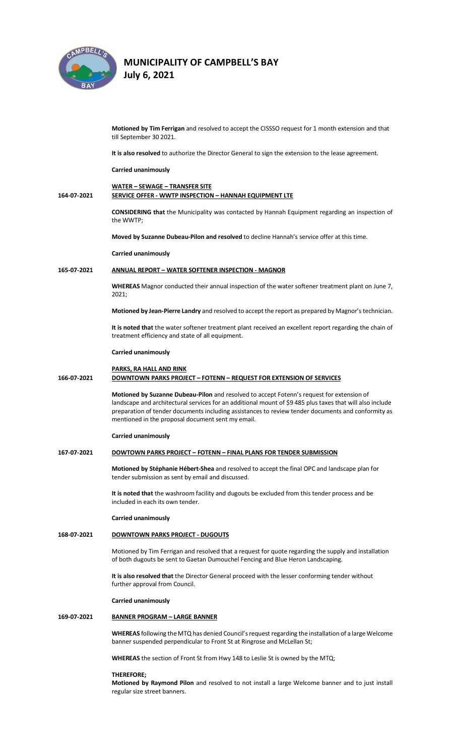

**July 6, 2021** 

|             | Motioned by Tim Ferrigan and resolved to accept the CISSSO request for 1 month extension and that<br>till September 30 2021.                                                                                                                                                                                                                                      |
|-------------|-------------------------------------------------------------------------------------------------------------------------------------------------------------------------------------------------------------------------------------------------------------------------------------------------------------------------------------------------------------------|
|             | It is also resolved to authorize the Director General to sign the extension to the lease agreement.                                                                                                                                                                                                                                                               |
|             | <b>Carried unanimously</b>                                                                                                                                                                                                                                                                                                                                        |
| 164-07-2021 | <b>WATER - SEWAGE - TRANSFER SITE</b><br>SERVICE OFFER - WWTP INSPECTION - HANNAH EQUIPMENT LTE                                                                                                                                                                                                                                                                   |
|             | <b>CONSIDERING that the Municipality was contacted by Hannah Equipment regarding an inspection of</b><br>the WWTP;                                                                                                                                                                                                                                                |
|             | Moved by Suzanne Dubeau-Pilon and resolved to decline Hannah's service offer at this time.                                                                                                                                                                                                                                                                        |
|             | <b>Carried unanimously</b>                                                                                                                                                                                                                                                                                                                                        |
| 165-07-2021 | <b>ANNUAL REPORT - WATER SOFTENER INSPECTION - MAGNOR</b>                                                                                                                                                                                                                                                                                                         |
|             | WHEREAS Magnor conducted their annual inspection of the water softener treatment plant on June 7,<br>2021;                                                                                                                                                                                                                                                        |
|             | Motioned by Jean-Pierre Landry and resolved to accept the report as prepared by Magnor's technician.                                                                                                                                                                                                                                                              |
|             | It is noted that the water softener treatment plant received an excellent report regarding the chain of<br>treatment efficiency and state of all equipment.                                                                                                                                                                                                       |
|             | <b>Carried unanimously</b>                                                                                                                                                                                                                                                                                                                                        |
| 166-07-2021 | <b>PARKS, RA HALL AND RINK</b><br><b>DOWNTOWN PARKS PROJECT - FOTENN - REQUEST FOR EXTENSION OF SERVICES</b>                                                                                                                                                                                                                                                      |
|             | Motioned by Suzanne Dubeau-Pilon and resolved to accept Fotenn's request for extension of<br>landscape and architectural services for an additional mount of \$9 485 plus taxes that will also include<br>preparation of tender documents including assistances to review tender documents and conformity as<br>mentioned in the proposal document sent my email. |
|             | <b>Carried unanimously</b>                                                                                                                                                                                                                                                                                                                                        |
| 167-07-2021 | DOWTOWN PARKS PROJECT - FOTENN - FINAL PLANS FOR TENDER SUBMISSION                                                                                                                                                                                                                                                                                                |
|             | Motioned by Stéphanie Hébert-Shea and resolved to accept the final OPC and landscape plan for<br>tender submission as sent by email and discussed.                                                                                                                                                                                                                |
|             | It is noted that the washroom facility and dugouts be excluded from this tender process and be<br>included in each its own tender.                                                                                                                                                                                                                                |
|             | Carried unanimously                                                                                                                                                                                                                                                                                                                                               |
| 168-07-2021 | <b>DOWNTOWN PARKS PROJECT - DUGOUTS</b>                                                                                                                                                                                                                                                                                                                           |
|             | Motioned by Tim Ferrigan and resolved that a request for quote regarding the supply and installation<br>of both dugouts be sent to Gaetan Dumouchel Fencing and Blue Heron Landscaping.                                                                                                                                                                           |
|             | It is also resolved that the Director General proceed with the lesser conforming tender without<br>further approval from Council.                                                                                                                                                                                                                                 |
|             | <b>Carried unanimously</b>                                                                                                                                                                                                                                                                                                                                        |
| 169-07-2021 | <b>BANNER PROGRAM - LARGE BANNER</b>                                                                                                                                                                                                                                                                                                                              |
|             | WHEREAS following the MTQ has denied Council's request regarding the installation of a large Welcome<br>banner suspended perpendicular to Front St at Ringrose and McLellan St;                                                                                                                                                                                   |
|             | WHEREAS the section of Front St from Hwy 148 to Leslie St is owned by the MTQ;                                                                                                                                                                                                                                                                                    |
|             |                                                                                                                                                                                                                                                                                                                                                                   |

## **THEREFORE;**

**Motioned by Raymond Pilon** and resolved to not install a large Welcome banner and to just install regular size street banners.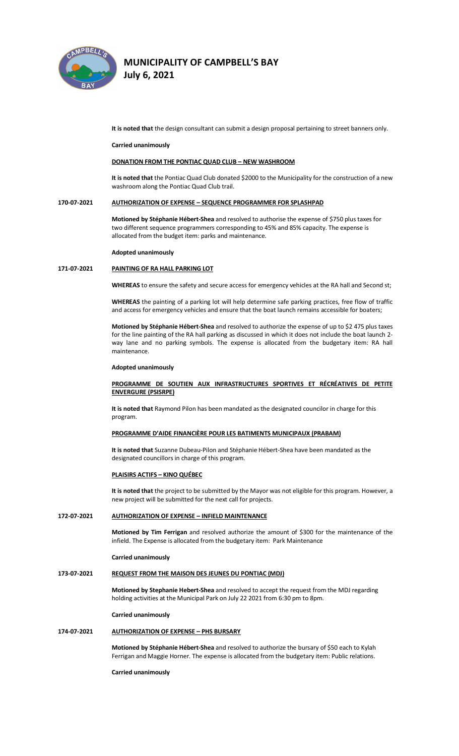

**July 6, 2021** 

**It is noted that** the design consultant can submit a design proposal pertaining to street banners only.

#### **Carried unanimously**

#### **DONATION FROM THE PONTIAC QUAD CLUB – NEW WASHROOM**

**It is noted that** the Pontiac Quad Club donated \$2000 to the Municipality for the construction of a new washroom along the Pontiac Quad Club trail.

## **170-07-2021 AUTHORIZATION OF EXPENSE – SEQUENCE PROGRAMMER FOR SPLASHPAD**

**Motioned by Stéphanie Hébert-Shea** and resolved to authorise the expense of \$750 plus taxes for two different sequence programmers corresponding to 45% and 85% capacity. The expense is allocated from the budget item: parks and maintenance.

#### **Adopted unanimously**

#### **171-07-2021 PAINTING OF RA HALL PARKING LOT**

**WHEREAS** to ensure the safety and secure access for emergency vehicles at the RA hall and Second st;

**WHEREAS** the painting of a parking lot will help determine safe parking practices, free flow of traffic and access for emergency vehicles and ensure that the boat launch remains accessible for boaters;

**Motioned by Stéphanie Hébert-Shea** and resolved to authorize the expense of up to \$2 475 plus taxes for the line painting of the RA hall parking as discussed in which it does not include the boat launch 2 way lane and no parking symbols. The expense is allocated from the budgetary item: RA hall maintenance.

#### **Adopted unanimously**

## **PROGRAMME DE SOUTIEN AUX INFRASTRUCTURES SPORTIVES ET RÉCRÉATIVES DE PETITE ENVERGURE (PSISRPE)**

**It is noted that** Raymond Pilon has been mandated as the designated councilor in charge for this program.

### **PROGRAMME D'AIDE FINANCIÈRE POUR LES BATIMENTS MUNICIPAUX (PRABAM)**

**It is noted that** Suzanne Dubeau-Pilon and Stéphanie Hébert-Shea have been mandated as the designated councillors in charge of this program.

#### **PLAISIRS ACTIFS – KINO QUÉBEC**

**It is noted that** the project to be submitted by the Mayor was not eligible for this program. However, a new project will be submitted for the next call for projects.

#### **172-07-2021 AUTHORIZATION OF EXPENSE – INFIELD MAINTENANCE**

**Motioned by Tim Ferrigan** and resolved authorize the amount of \$300 for the maintenance of the infield. The Expense is allocated from the budgetary item: Park Maintenance

#### **Carried unanimously**

#### **173-07-2021 REQUEST FROM THE MAISON DES JEUNES DU PONTIAC (MDJ)**

**Motioned by Stephanie Hebert-Shea** and resolved to accept the request from the MDJ regarding holding activities at the Municipal Park on July 22 2021 from 6:30 pm to 8pm.

#### **Carried unanimously**

#### **174-07-2021 AUTHORIZATION OF EXPENSE – PHS BURSARY**

**Motioned by Stéphanie Hébert-Shea** and resolved to authorize the bursary of \$50 each to Kylah Ferrigan and Maggie Horner. The expense is allocated from the budgetary item: Public relations.

**Carried unanimously**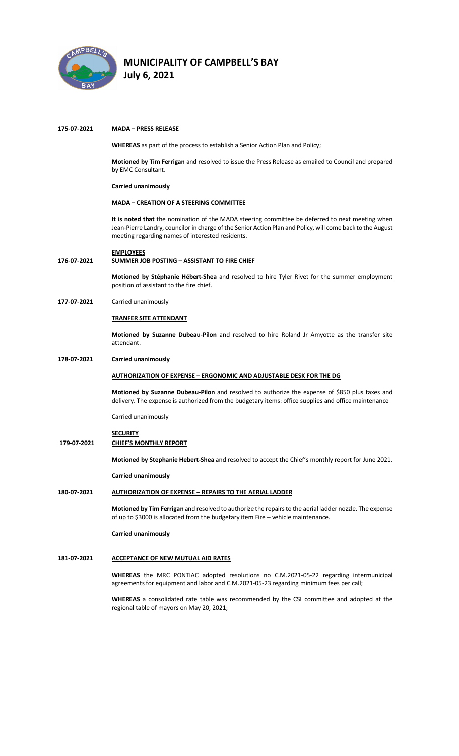

**July 6, 2021** 

#### **175-07-2021 MADA – PRESS RELEASE**

**WHEREAS** as part of the process to establish a Senior Action Plan and Policy;

**Motioned by Tim Ferrigan** and resolved to issue the Press Release as emailed to Council and prepared by EMC Consultant.

**Carried unanimously**

### **MADA – CREATION OF A STEERING COMMITTEE**

**It is noted that** the nomination of the MADA steering committee be deferred to next meeting when Jean-Pierre Landry, councilor in charge of the Senior Action Plan and Policy, will come back to the August meeting regarding names of interested residents.

#### **EMPLOYEES**

#### **176-07-2021 SUMMER JOB POSTING – ASSISTANT TO FIRE CHIEF**

**Motioned by Stéphanie Hébert-Shea** and resolved to hire Tyler Rivet for the summer employment position of assistant to the fire chief.

**177-07-2021** Carried unanimously

#### **TRANFER SITE ATTENDANT**

**Motioned by Suzanne Dubeau-Pilon** and resolved to hire Roland Jr Amyotte as the transfer site attendant.

#### **178-07-2021 Carried unanimously**

### **AUTHORIZATION OF EXPENSE – ERGONOMIC AND ADJUSTABLE DESK FOR THE DG**

**Motioned by Suzanne Dubeau-Pilon** and resolved to authorize the expense of \$850 plus taxes and delivery. The expense is authorized from the budgetary items: office supplies and office maintenance

Carried unanimously

# **SECURITY**

# **179-07-2021 CHIEF'S MONTHLY REPORT**

**Motioned by Stephanie Hebert-Shea** and resolved to accept the Chief's monthly report for June 2021.

**Carried unanimously**

#### **180-07-2021 AUTHORIZATION OF EXPENSE – REPAIRS TO THE AERIAL LADDER**

**Motioned by Tim Ferrigan** and resolved to authorize the repairs to the aerial ladder nozzle. The expense of up to \$3000 is allocated from the budgetary item Fire – vehicle maintenance.

#### **Carried unanimously**

#### **181-07-2021 ACCEPTANCE OF NEW MUTUAL AID RATES**

**WHEREAS** the MRC PONTIAC adopted resolutions no C.M.2021-05-22 regarding intermunicipal agreements for equipment and labor and C.M.2021-05-23 regarding minimum fees per call;

**WHEREAS** a consolidated rate table was recommended by the CSI committee and adopted at the regional table of mayors on May 20, 2021;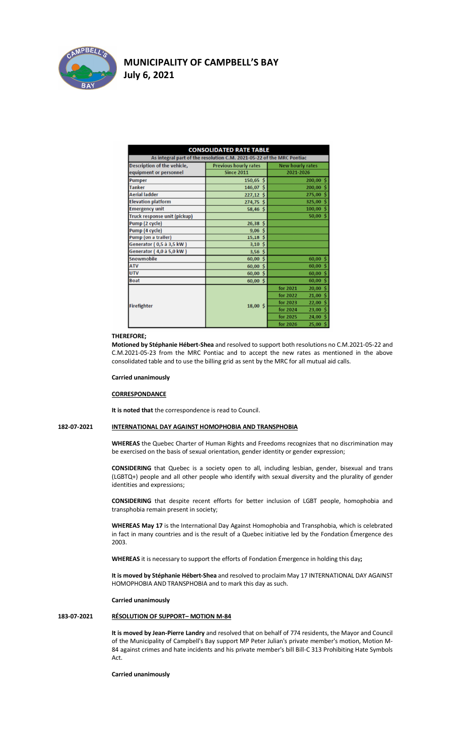

# **MUNICIPALITY OF CAMPBELL'S BAY July 6, 2021**

| <b>CONSOLIDATED RATE TABLE</b>                                        |                              |                         |  |
|-----------------------------------------------------------------------|------------------------------|-------------------------|--|
| As integral part of the resolution C.M. 2021-05-22 of the MRC Pontiac |                              |                         |  |
| Description of the vehicle,                                           | <b>Previous hourly rates</b> | <b>New hourly rates</b> |  |
| equipment or personnel                                                | <b>Since 2011</b>            | 2021-2026               |  |
| Pumper                                                                | $150,65$ \$                  | 200,005                 |  |
| <b>Tanker</b>                                                         | 146,07 \$                    | $200,00$ \$             |  |
| <b>Aerial ladder</b>                                                  | $227,12$ \$                  | $275,00$ \$             |  |
| <b>Elevation platform</b>                                             | 274,75 \$                    | 325,00 \$               |  |
| <b>Emergency unit</b>                                                 | $58,46$ \$                   | $100,00$ \$             |  |
| Truck response unit (pickup)                                          |                              | $50,00$ \$              |  |
| Pump (2 cycle)                                                        | $26,38$ \$                   |                         |  |
| Pump (4 cycle)                                                        | $9,06$ \$                    |                         |  |
| Pump (on a trailer)                                                   | $15,18$ \$                   |                         |  |
| Generator (0,5 à 3,5 kW)                                              | 3,10,5                       |                         |  |
| Generator (4,0 à 5,0 kW)                                              | $3,56$ \$                    |                         |  |
| Snowmobile                                                            | $60,00$ \$                   | $60,00$ \$              |  |
| <b>ATV</b>                                                            | $60,00$ \$                   | $60,00$ \$              |  |
| <b>UTV</b>                                                            | $60,00$ \$                   | $60,00$ \$              |  |
| <b>Boat</b>                                                           | $60,00$ \$                   | 60,005                  |  |
|                                                                       | $18,00$ \$                   | $20,00$ \$<br>for 2021  |  |
|                                                                       |                              | $21,00$ \$<br>for 2022  |  |
|                                                                       |                              | $22,00$ \$<br>for 2023  |  |
| <b>Firefighter</b>                                                    |                              | $23,00$ \$<br>for 2024  |  |
|                                                                       |                              | $24,00$ \$<br>for 2025  |  |
|                                                                       |                              | $25,00$ \$<br>for 2026  |  |

### **THEREFORE;**

**Motioned by Stéphanie Hébert-Shea** and resolved to support both resolutions no C.M.2021-05-22 and C.M.2021-05-23 from the MRC Pontiac and to accept the new rates as mentioned in the above consolidated table and to use the billing grid as sent by the MRC for all mutual aid calls.

#### **Carried unanimously**

#### **CORRESPONDANCE**

**It is noted that** the correspondence is read to Council.

# **182-07-2021 INTERNATIONAL DAY AGAINST HOMOPHOBIA AND TRANSPHOBIA**

**WHEREAS** the Quebec Charter of Human Rights and Freedoms recognizes that no discrimination may be exercised on the basis of sexual orientation, gender identity or gender expression;

**CONSIDERING** that Quebec is a society open to all, including lesbian, gender, bisexual and trans (LGBTQ+) people and all other people who identify with sexual diversity and the plurality of gender identities and expressions;

**CONSIDERING** that despite recent efforts for better inclusion of LGBT people, homophobia and transphobia remain present in society;

**WHEREAS May 17** is the International Day Against Homophobia and Transphobia, which is celebrated in fact in many countries and is the result of a Quebec initiative led by the Fondation Émergence des 2003.

**WHEREAS** it is necessary to support the efforts of Fondation Émergence in holding this day**;**

**It is moved by Stéphanie Hébert-Shea** and resolved to proclaim May 17 INTERNATIONAL DAY AGAINST HOMOPHOBIA AND TRANSPHOBIA and to mark this day as such.

**Carried unanimously**

#### **183-07-2021 RÉSOLUTION OF SUPPORT– MOTION M-84**

**It is moved by Jean-Pierre Landry** and resolved that on behalf of 774 residents, the Mayor and Council of the Municipality of Campbell's Bay support MP Peter Julian's private member's motion, Motion M-84 against crimes and hate incidents and his private member's bill Bill-C 313 Prohibiting Hate Symbols Act.

**Carried unanimously**